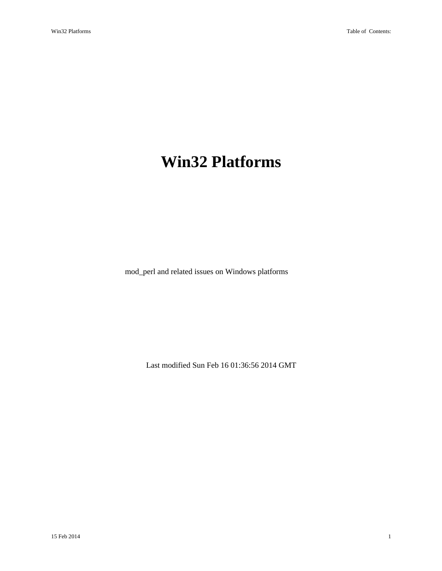# <span id="page-0-0"></span>**Win32 Platforms**

mod\_perl and related issues on Windows platforms

Last modified Sun Feb 16 01:36:56 2014 GMT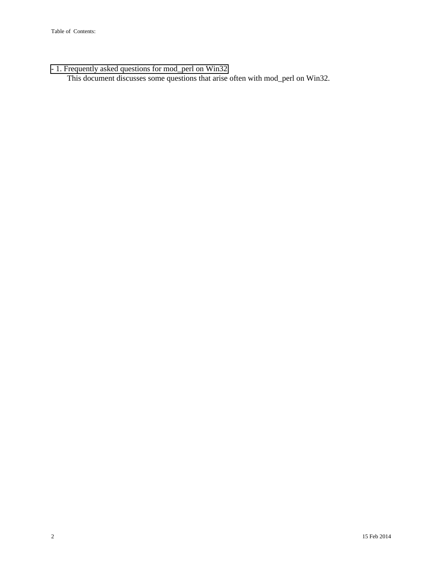[- 1. Frequently asked questions for mod\\_perl on Win32](#page-2-0) 

This document discusses some questions that arise often with mod\_perl on Win32.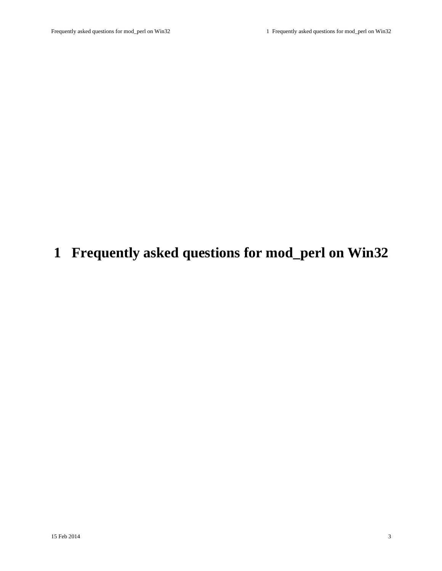# <span id="page-2-1"></span><span id="page-2-0"></span>**1 Frequently asked questions for mod\_perl on Win32**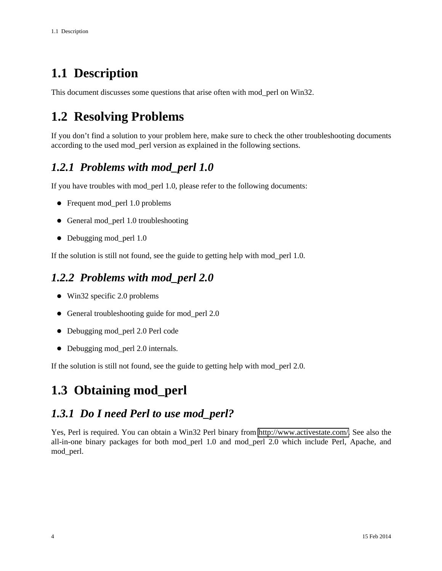## <span id="page-3-0"></span>**1.1 Description**

This document discusses some questions that arise often with mod\_perl on Win32.

## <span id="page-3-1"></span>**1.2 Resolving Problems**

If you don't find a solution to your problem here, make sure to check the other troubleshooting documents according to the used mod\_perl version as explained in the following sections.

### <span id="page-3-2"></span>*1.2.1 Problems with mod\_perl 1.0*

If you have troubles with mod\_perl 1.0, please refer to the following documents:

- Frequent mod perl 1.0 problems
- General mod\_perl 1.0 troubleshooting
- Debugging mod\_perl 1.0

If the solution is still not found, see the guide to getting help with mod\_perl 1.0.

### <span id="page-3-3"></span>*1.2.2 Problems with mod\_perl 2.0*

- Win32 specific 2.0 problems
- General troubleshooting guide for mod perl 2.0
- Debugging mod\_perl 2.0 Perl code
- Debugging mod\_perl 2.0 internals.

If the solution is still not found, see the guide to getting help with mod\_perl 2.0.

## <span id="page-3-4"></span>**1.3 Obtaining mod\_perl**

### <span id="page-3-5"></span>*1.3.1 Do I need Perl to use mod\_perl?*

Yes, Perl is required. You can obtain a Win32 Perl binary from [http://www.activestate.com/.](http://www.activestate.com/) See also the all-in-one binary packages for both mod\_perl 1.0 and mod\_perl 2.0 which include Perl, Apache, and mod\_perl.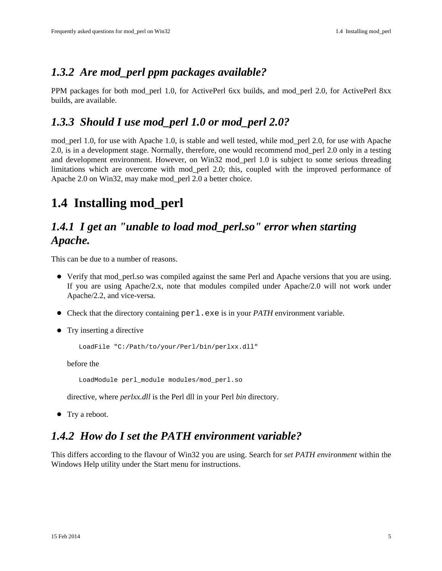### <span id="page-4-0"></span>*1.3.2 Are mod\_perl ppm packages available?*

PPM packages for both mod\_perl 1.0, for ActivePerl 6xx builds, and mod\_perl 2.0, for ActivePerl 8xx builds, are available.

### <span id="page-4-1"></span>*1.3.3 Should I use mod\_perl 1.0 or mod\_perl 2.0?*

mod\_perl 1.0, for use with Apache 1.0, is stable and well tested, while mod\_perl 2.0, for use with Apache 2.0, is in a development stage. Normally, therefore, one would recommend mod\_perl 2.0 only in a testing and development environment. However, on Win32 mod\_perl 1.0 is subject to some serious threading limitations which are overcome with mod\_perl 2.0; this, coupled with the improved performance of Apache 2.0 on Win32, may make mod\_perl 2.0 a better choice.

## <span id="page-4-2"></span>**1.4 Installing mod\_perl**

### <span id="page-4-3"></span>*1.4.1 I get an "unable to load mod\_perl.so" error when starting Apache.*

This can be due to a number of reasons.

- Verify that mod\_perl.so was compiled against the same Perl and Apache versions that you are using. If you are using Apache/2.x, note that modules compiled under Apache/2.0 will not work under Apache/2.2, and vice-versa.
- Check that the directory containing perl.exe is in your *PATH* environment variable.
- Try inserting a directive

LoadFile "C:/Path/to/your/Perl/bin/perlxx.dll"

before the

LoadModule perl\_module modules/mod\_perl.so

directive, where *perlxx.dll* is the Perl dll in your Perl *bin* directory.

• Try a reboot.

#### <span id="page-4-4"></span>*1.4.2 How do I set the PATH environment variable?*

This differs according to the flavour of Win32 you are using. Search for *set PATH environment* within the Windows Help utility under the Start menu for instructions.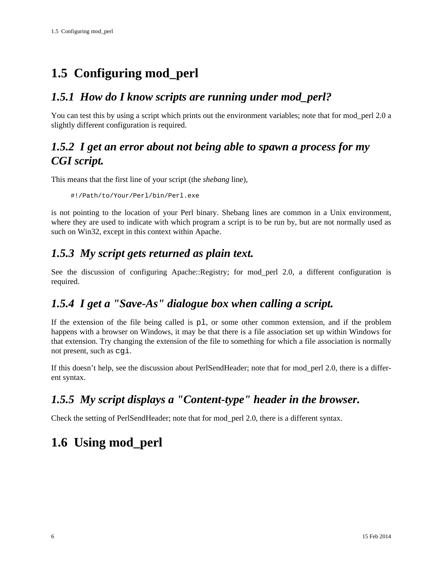## <span id="page-5-0"></span>**1.5 Configuring mod\_perl**

## <span id="page-5-1"></span>*1.5.1 How do I know scripts are running under mod\_perl?*

You can test this by using a script which prints out the environment variables; note that for mod\_perl 2.0 a slightly different configuration is required.

### <span id="page-5-2"></span>*1.5.2 I get an error about not being able to spawn a process for my CGI script.*

This means that the first line of your script (the *shebang* line),

#!/Path/to/Your/Perl/bin/Perl.exe

is not pointing to the location of your Perl binary. Shebang lines are common in a Unix environment, where they are used to indicate with which program a script is to be run by, but are not normally used as such on Win32, except in this context within Apache.

## <span id="page-5-3"></span>*1.5.3 My script gets returned as plain text.*

See the discussion of configuring Apache::Registry; for mod\_perl 2.0, a different configuration is required.

### <span id="page-5-4"></span>*1.5.4 I get a "Save-As" dialogue box when calling a script.*

If the extension of the file being called is pl, or some other common extension, and if the problem happens with a browser on Windows, it may be that there is a file association set up within Windows for that extension. Try changing the extension of the file to something for which a file association is normally not present, such as cgi.

If this doesn't help, see the discussion about PerlSendHeader; note that for mod\_perl 2.0, there is a different syntax.

## <span id="page-5-5"></span>*1.5.5 My script displays a "Content-type" header in the browser.*

Check the setting of PerlSendHeader; note that for mod\_perl 2.0, there is a different syntax.

## <span id="page-5-6"></span>**1.6 Using mod\_perl**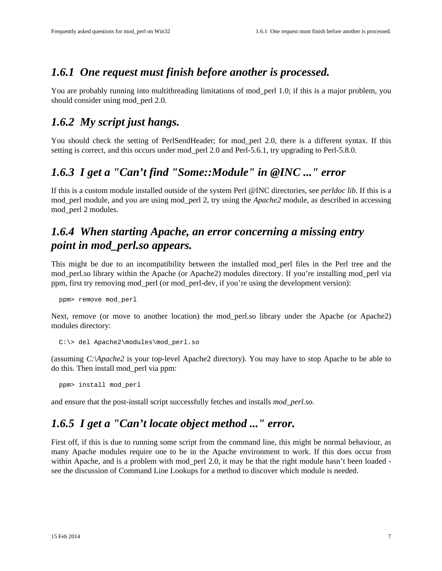#### <span id="page-6-0"></span>*1.6.1 One request must finish before another is processed.*

You are probably running into multithreading limitations of mod\_perl 1.0; if this is a major problem, you should consider using mod perl 2.0.

#### <span id="page-6-1"></span>*1.6.2 My script just hangs.*

You should check the setting of PerlSendHeader; for mod\_perl 2.0, there is a different syntax. If this setting is correct, and this occurs under mod\_perl 2.0 and Perl-5.6.1, try upgrading to Perl-5.8.0.

#### <span id="page-6-2"></span>*1.6.3 I get a "Can't find "Some::Module" in @INC ..." error*

If this is a custom module installed outside of the system Perl @INC directories, see *perldoc lib*. If this is a mod\_perl module, and you are using mod\_perl 2, try using the *Apache2* module, as described in accessing mod\_perl 2 modules.

### <span id="page-6-3"></span>*1.6.4 When starting Apache, an error concerning a missing entry point in mod\_perl.so appears.*

This might be due to an incompatibility between the installed mod\_perl files in the Perl tree and the mod\_perl.so library within the Apache (or Apache2) modules directory. If you're installing mod\_perl via ppm, first try removing mod\_perl (or mod\_perl-dev, if you're using the development version):

ppm> remove mod\_perl

Next, remove (or move to another location) the mod\_perl.so library under the Apache (or Apache2) modules directory:

```
 C:\> del Apache2\modules\mod_perl.so
```
(assuming *C:\Apache2* is your top-level Apache2 directory). You may have to stop Apache to be able to do this. Then install mod\_perl via ppm:

ppm> install mod\_perl

and ensure that the post-install script successfully fetches and installs *mod\_perl.so*.

#### <span id="page-6-4"></span>*1.6.5 I get a "Can't locate object method ..." error.*

First off, if this is due to running some script from the command line, this might be normal behaviour, as many Apache modules require one to be in the Apache environment to work. If this does occur from within Apache, and is a problem with mod perl 2.0, it may be that the right module hasn't been loaded see the discussion of Command Line Lookups for a method to discover which module is needed.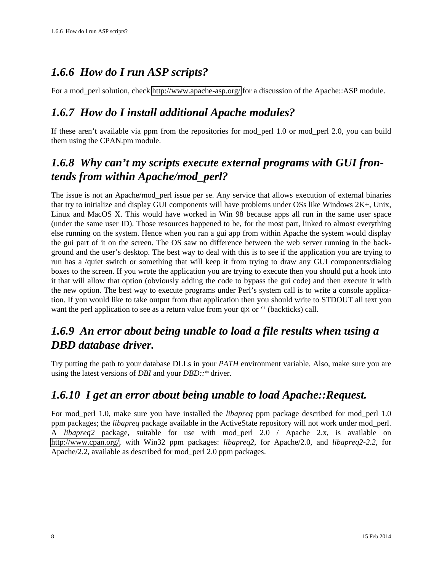## <span id="page-7-0"></span>*1.6.6 How do I run ASP scripts?*

For a mod\_perl solution, check<http://www.apache-asp.org/>for a discussion of the Apache::ASP module.

### <span id="page-7-1"></span>*1.6.7 How do I install additional Apache modules?*

If these aren't available via ppm from the repositories for mod\_perl 1.0 or mod\_perl 2.0, you can build them using the CPAN.pm module.

### <span id="page-7-2"></span>*1.6.8 Why can't my scripts execute external programs with GUI frontends from within Apache/mod\_perl?*

The issue is not an Apache/mod\_perl issue per se. Any service that allows execution of external binaries that try to initialize and display GUI components will have problems under OSs like Windows 2K+, Unix, Linux and MacOS X. This would have worked in Win 98 because apps all run in the same user space (under the same user ID). Those resources happened to be, for the most part, linked to almost everything else running on the system. Hence when you ran a gui app from within Apache the system would display the gui part of it on the screen. The OS saw no difference between the web server running in the background and the user's desktop. The best way to deal with this is to see if the application you are trying to run has a /quiet switch or something that will keep it from trying to draw any GUI components/dialog boxes to the screen. If you wrote the application you are trying to execute then you should put a hook into it that will allow that option (obviously adding the code to bypass the gui code) and then execute it with the new option. The best way to execute programs under Perl's system call is to write a console application. If you would like to take output from that application then you should write to STDOUT all text you want the perl application to see as a return value from your qx or '' (backticks) call.

### <span id="page-7-3"></span>*1.6.9 An error about being unable to load a file results when using a DBD database driver.*

Try putting the path to your database DLLs in your *PATH* environment variable. Also, make sure you are using the latest versions of *DBI* and your *DBD::\** driver.

### <span id="page-7-4"></span>*1.6.10 I get an error about being unable to load Apache::Request.*

For mod\_perl 1.0, make sure you have installed the *libapreq* ppm package described for mod\_perl 1.0 ppm packages; the *libapreq* package available in the ActiveState repository will not work under mod\_perl. A *libapreq2* package, suitable for use with mod\_perl 2.0 / Apache 2.x, is available on [http://www.cpan.org/,](http://www.cpan.org/) with Win32 ppm packages: *libapreq2*, for Apache/2.0, and *libapreq2-2.2*, for Apache/2.2, available as described for mod\_perl 2.0 ppm packages.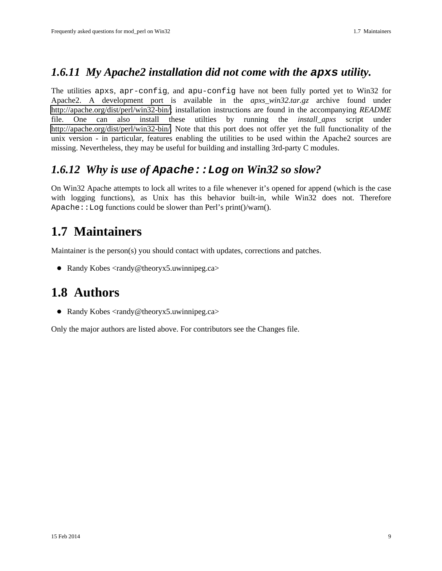### <span id="page-8-0"></span>*1.6.11 My Apache2 installation did not come with the* **apxs** *utility.*

The utilities apxs, apr-config, and apu-config have not been fully ported yet to Win32 for Apache2. A development port is available in the *apxs\_win32.tar.gz* archive found under [http://apache.org/dist/perl/win32-bin/;](http://apache.org/dist/perl/win32-bin/) installation instructions are found in the accompanying *README* file. One can also install these utilties by running the *install\_apxs* script under [http://apache.org/dist/perl/win32-bin/.](http://apache.org/dist/perl/win32-bin/) Note that this port does not offer yet the full functionality of the unix version - in particular, features enabling the utilities to be used within the Apache2 sources are missing. Nevertheless, they may be useful for building and installing 3rd-party C modules.

### <span id="page-8-1"></span>*1.6.12 Why is use of* **Apache::Log** *on Win32 so slow?*

On Win32 Apache attempts to lock all writes to a file whenever it's opened for append (which is the case with logging functions), as Unix has this behavior built-in, while Win32 does not. Therefore Apache:  $\text{Log functions could be slower than Perl's print}$  ()/warn().

## <span id="page-8-2"></span>**1.7 Maintainers**

Maintainer is the person(s) you should contact with updates, corrections and patches.

• Randy Kobes <randy@theoryx5.uwinnipeg.ca>

### <span id="page-8-3"></span>**1.8 Authors**

Randy Kobes <randy@theoryx5.uwinnipeg.ca>

Only the major authors are listed above. For contributors see the Changes file.